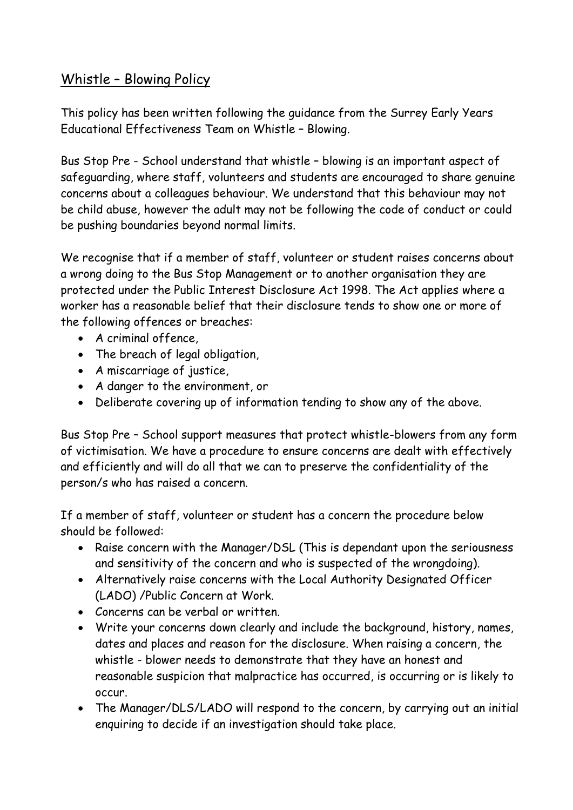## Whistle – Blowing Policy

This policy has been written following the guidance from the Surrey Early Years Educational Effectiveness Team on Whistle – Blowing.

Bus Stop Pre - School understand that whistle – blowing is an important aspect of safeguarding, where staff, volunteers and students are encouraged to share genuine concerns about a colleagues behaviour. We understand that this behaviour may not be child abuse, however the adult may not be following the code of conduct or could be pushing boundaries beyond normal limits.

We recognise that if a member of staff, volunteer or student raises concerns about a wrong doing to the Bus Stop Management or to another organisation they are protected under the Public Interest Disclosure Act 1998. The Act applies where a worker has a reasonable belief that their disclosure tends to show one or more of the following offences or breaches:

- A criminal offence,
- The breach of legal obligation,
- A miscarriage of justice,
- A danger to the environment, or
- Deliberate covering up of information tending to show any of the above.

Bus Stop Pre – School support measures that protect whistle-blowers from any form of victimisation. We have a procedure to ensure concerns are dealt with effectively and efficiently and will do all that we can to preserve the confidentiality of the person/s who has raised a concern.

If a member of staff, volunteer or student has a concern the procedure below should be followed:

- Raise concern with the Manager/DSL (This is dependant upon the seriousness and sensitivity of the concern and who is suspected of the wrongdoing).
- Alternatively raise concerns with the Local Authority Designated Officer (LADO) /Public Concern at Work.
- Concerns can be verbal or written.
- Write your concerns down clearly and include the background, history, names, dates and places and reason for the disclosure. When raising a concern, the whistle - blower needs to demonstrate that they have an honest and reasonable suspicion that malpractice has occurred, is occurring or is likely to occur.
- The Manager/DLS/LADO will respond to the concern, by carrying out an initial enquiring to decide if an investigation should take place.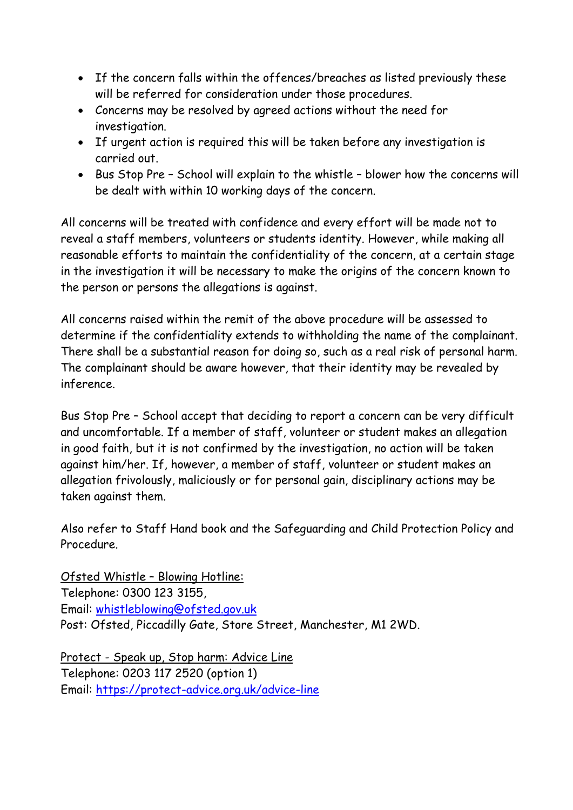- If the concern falls within the offences/breaches as listed previously these will be referred for consideration under those procedures.
- Concerns may be resolved by agreed actions without the need for investigation.
- If urgent action is required this will be taken before any investigation is carried out.
- Bus Stop Pre School will explain to the whistle blower how the concerns will be dealt with within 10 working days of the concern.

All concerns will be treated with confidence and every effort will be made not to reveal a staff members, volunteers or students identity. However, while making all reasonable efforts to maintain the confidentiality of the concern, at a certain stage in the investigation it will be necessary to make the origins of the concern known to the person or persons the allegations is against.

All concerns raised within the remit of the above procedure will be assessed to determine if the confidentiality extends to withholding the name of the complainant. There shall be a substantial reason for doing so, such as a real risk of personal harm. The complainant should be aware however, that their identity may be revealed by inference.

Bus Stop Pre – School accept that deciding to report a concern can be very difficult and uncomfortable. If a member of staff, volunteer or student makes an allegation in good faith, but it is not confirmed by the investigation, no action will be taken against him/her. If, however, a member of staff, volunteer or student makes an allegation frivolously, maliciously or for personal gain, disciplinary actions may be taken against them.

Also refer to Staff Hand book and the Safeguarding and Child Protection Policy and Procedure.

Ofsted Whistle – Blowing Hotline: Telephone: 0300 123 3155, Email: [whistleblowing@ofsted.gov.uk](mailto:whistleblowing@ofsted.gov.uk) Post: Ofsted, Piccadilly Gate, Store Street, Manchester, M1 2WD.

Protect - Speak up, Stop harm: Advice Line Telephone: 0203 117 2520 (option 1) Email:<https://protect-advice.org.uk/advice-line>